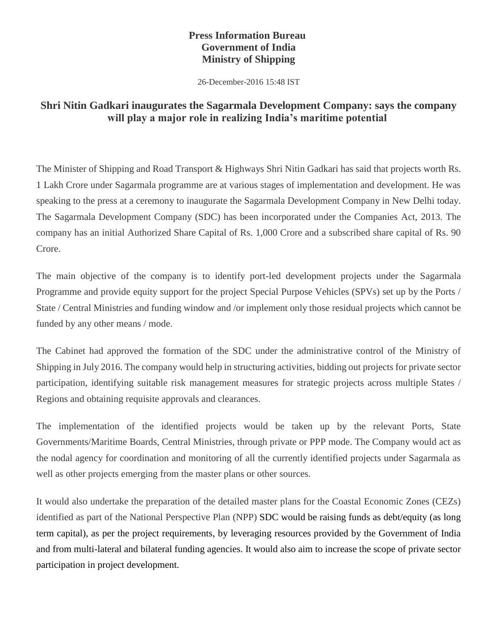## **Press Information Bureau Government of India Ministry of Shipping**

26-December-2016 15:48 IST

## **Shri Nitin Gadkari inaugurates the Sagarmala Development Company: says the company will play a major role in realizing India's maritime potential**

The Minister of Shipping and Road Transport & Highways Shri Nitin Gadkari has said that projects worth Rs. 1 Lakh Crore under Sagarmala programme are at various stages of implementation and development. He was speaking to the press at a ceremony to inaugurate the Sagarmala Development Company in New Delhi today. The Sagarmala Development Company (SDC) has been incorporated under the Companies Act, 2013. The company has an initial Authorized Share Capital of Rs. 1,000 Crore and a subscribed share capital of Rs. 90 Crore.

The main objective of the company is to identify port-led development projects under the Sagarmala Programme and provide equity support for the project Special Purpose Vehicles (SPVs) set up by the Ports / State / Central Ministries and funding window and /or implement only those residual projects which cannot be funded by any other means / mode.

The Cabinet had approved the formation of the SDC under the administrative control of the Ministry of Shipping in July 2016. The company would help in structuring activities, bidding out projects for private sector participation, identifying suitable risk management measures for strategic projects across multiple States / Regions and obtaining requisite approvals and clearances.

The implementation of the identified projects would be taken up by the relevant Ports, State Governments/Maritime Boards, Central Ministries, through private or PPP mode. The Company would act as the nodal agency for coordination and monitoring of all the currently identified projects under Sagarmala as well as other projects emerging from the master plans or other sources.

It would also undertake the preparation of the detailed master plans for the Coastal Economic Zones (CEZs) identified as part of the National Perspective Plan (NPP) SDC would be raising funds as debt/equity (as long term capital), as per the project requirements, by leveraging resources provided by the Government of India and from multi-lateral and bilateral funding agencies. It would also aim to increase the scope of private sector participation in project development.